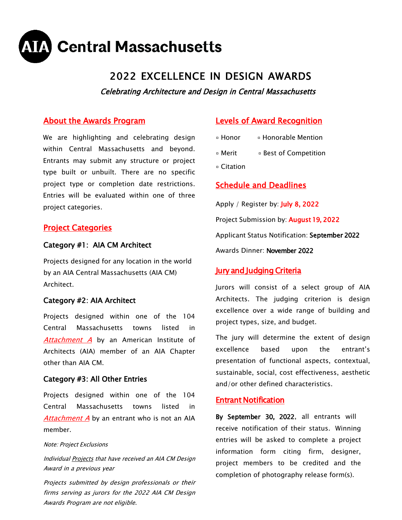

# 2022 EXCELLENCE IN DESIGN AWARDS

Celebrating Architecture and Design in Central Massachusetts

# About the Awards Program

We are highlighting and celebrating design within Central Massachusetts and beyond. Entrants may submit any structure or project type built or unbuilt. There are no specific project type or completion date restrictions. Entries will be evaluated within one of three project categories.

## **Project Categories**

#### Category #1: AIA CM Architect

Projects designed for any location in the world by an AIA Central Massachusetts (AIA CM) Architect.

#### Category #2: AIA Architect

Projects designed within one of the 104 Central Massachusetts towns listed in [Attachment A](https://aiacm.org/resources/2019%20Design%20Award%20Materials/2019%20AIA%20CM%20Geographic%20Design%20Area.pdf) by an American Institute of Architects (AIA) member of an AIA Chapter other than AIA CM.

#### Category #3: All Other Entries

Projects designed within one of the 104 Central Massachusetts towns listed in [Attachment A](https://aiacm.org/resources/2019%20Design%20Award%20Materials/2019%20AIA%20CM%20Geographic%20Design%20Area.pdf) by an entrant who is not an AIA member.

#### Note: Project Exclusions

Individual Projects that have received an AIA CM Design Award in a previous year

Projects submitted by design professionals or their firms serving as jurors for the 2022 AIA CM Design Awards Program are not eligible.

# Levels of Award Recognition

- Honor Honorable Mention
- Merit Best of Competition
- Citation

# Schedule and Deadlines

Apply / Register by: July 8, 2022 Project Submission by: August 19, 2022 Applicant Status Notification: September 2022 Awards Dinner: November 2022

## Jury and Judging Criteria

Jurors will consist of a select group of AIA Architects. The judging criterion is design excellence over a wide range of building and project types, size, and budget.

The jury will determine the extent of design excellence based upon the entrant's presentation of functional aspects, contextual, sustainable, social, cost effectiveness, aesthetic and/or other defined characteristics.

#### Entrant Notification

By September 30, 2022, all entrants will receive notification of their status. Winning entries will be asked to complete a project information form citing firm, designer, project members to be credited and the completion of photography release form(s).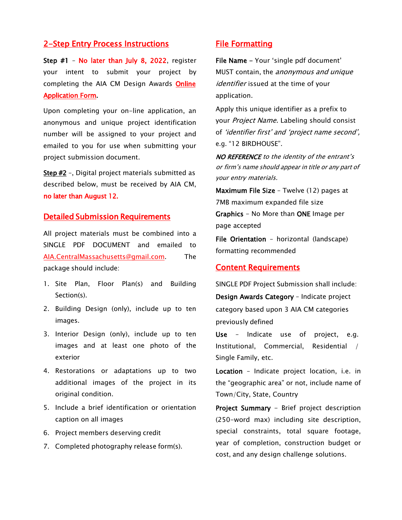#### 2-Step Entry Process Instructions

Step #1 - No later than July 8, 2022, register your intent to submit your project by completing the AIA CM Design Awards [Online](https://aiacm.org/event-2993381)  [Application Form.](https://aiacm.org/event-2993381) 

Upon completing your on-line application, an anonymous and unique project identification number will be assigned to your project and emailed to you for use when submitting your project submission document.

Step #2 -, Digital project materials submitted as described below, must be received by AIA CM, no later than August 12.

### Detailed Submission Requirements

All project materials must be combined into a SINGLE PDF DOCUMENT and emailed to AIA.CentralMassachusetts@gmail.com. The package should include:

- 1. Site Plan, Floor Plan(s) and Building Section(s).
- 2. Building Design (only), include up to ten images.
- 3. Interior Design (only), include up to ten images and at least one photo of the exterior
- 4. Restorations or adaptations up to two additional images of the project in its original condition.
- 5. Include a brief identification or orientation caption on all images
- 6. Project members deserving credit
- 7. Completed photography release form(s).

# File Formatting

File Name - Your 'single pdf document' MUST contain, the anonymous and unique identifier issued at the time of your application.

Apply this unique identifier as a prefix to your Project Name. Labeling should consist of 'identifier first' and 'project name second', e.g. "12 BIRDHOUSE".

NO REFERENCE to the identity of the entrant's or firm's name should appear in title or any part of your entry materials.

Maximum File Size – Twelve (12) pages at 7MB maximum expanded file size Graphics - No More than ONE Image per page accepted

File Orientation – horizontal (landscape) formatting recommended

#### Content Requirements

SINGLE PDF Project Submission shall include: Design Awards Category – Indicate project category based upon 3 AIA CM categories previously defined

Use – Indicate use of project, e.g. Institutional, Commercial, Residential / Single Family, etc.

Location – Indicate project location, i.e. in the "geographic area" or not, include name of Town/City, State, Country

Project Summary - Brief project description (250-word max) including site description, special constraints, total square footage, year of completion, construction budget or cost, and any design challenge solutions.